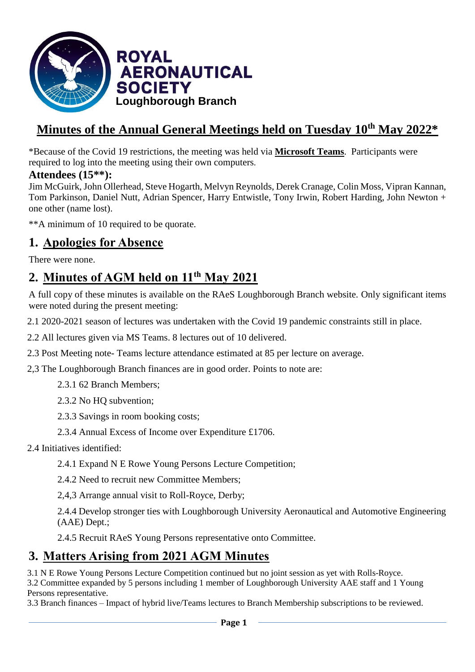

# **Minutes of the Annual General Meetings held on Tuesday 10 th May 2022\***

\*Because of the Covid 19 restrictions, the meeting was held via **Microsoft Teams**. Participants were required to log into the meeting using their own computers.

## **Attendees (15\*\*):**

Jim McGuirk, John Ollerhead, Steve Hogarth, Melvyn Reynolds, Derek Cranage, Colin Moss, Vipran Kannan, Tom Parkinson, Daniel Nutt, Adrian Spencer, Harry Entwistle, Tony Irwin, Robert Harding, John Newton + one other (name lost).

\*\*A minimum of 10 required to be quorate.

# **1. Apologies for Absence**

There were none.

# **2. Minutes of AGM held on 11th May 2021**

A full copy of these minutes is available on the RAeS Loughborough Branch website. Only significant items were noted during the present meeting:

2.1 2020-2021 season of lectures was undertaken with the Covid 19 pandemic constraints still in place.

2.2 All lectures given via MS Teams. 8 lectures out of 10 delivered.

2.3 Post Meeting note- Teams lecture attendance estimated at 85 per lecture on average.

2,3 The Loughborough Branch finances are in good order. Points to note are:

2.3.1 62 Branch Members;

2.3.2 No HQ subvention;

2.3.3 Savings in room booking costs;

2.3.4 Annual Excess of Income over Expenditure £1706.

2.4 Initiatives identified:

2.4.1 Expand N E Rowe Young Persons Lecture Competition;

2.4.2 Need to recruit new Committee Members;

2,4,3 Arrange annual visit to Roll-Royce, Derby;

2.4.4 Develop stronger ties with Loughborough University Aeronautical and Automotive Engineering (AAE) Dept.;

2.4.5 Recruit RAeS Young Persons representative onto Committee.

# **3. Matters Arising from 2021 AGM Minutes**

3.1 N E Rowe Young Persons Lecture Competition continued but no joint session as yet with Rolls-Royce.

3.2 Committee expanded by 5 persons including 1 member of Loughborough University AAE staff and 1 Young Persons representative.

3.3 Branch finances – Impact of hybrid live/Teams lectures to Branch Membership subscriptions to be reviewed.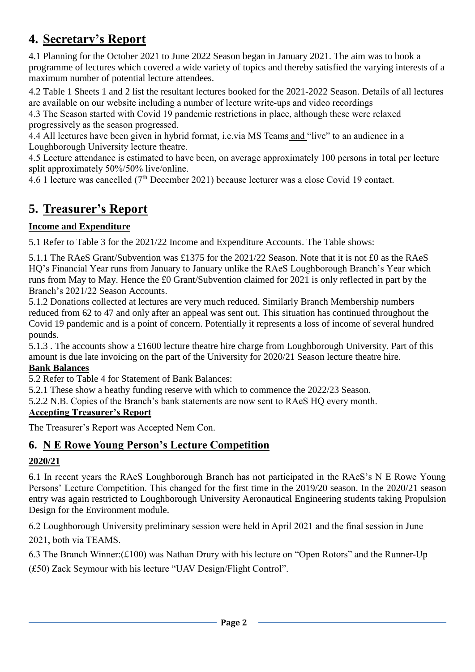# **4. Secretary's Report**

4.1 Planning for the October 2021 to June 2022 Season began in January 2021. The aim was to book a programme of lectures which covered a wide variety of topics and thereby satisfied the varying interests of a maximum number of potential lecture attendees.

4.2 Table 1 Sheets 1 and 2 list the resultant lectures booked for the 2021-2022 Season. Details of all lectures are available on our website including a number of lecture write-ups and video recordings

4.3 The Season started with Covid 19 pandemic restrictions in place, although these were relaxed progressively as the season progressed.

4.4 All lectures have been given in hybrid format, i.e.via MS Teams and "live" to an audience in a Loughborough University lecture theatre.

4.5 Lecture attendance is estimated to have been, on average approximately 100 persons in total per lecture split approximately 50%/50% live/online.

4.6 1 lecture was cancelled (7th December 2021) because lecturer was a close Covid 19 contact.

# **5. Treasurer's Report**

## **Income and Expenditure**

5.1 Refer to Table 3 for the 2021/22 Income and Expenditure Accounts. The Table shows:

5.1.1 The RAeS Grant/Subvention was £1375 for the 2021/22 Season. Note that it is not £0 as the RAeS HQ's Financial Year runs from January to January unlike the RAeS Loughborough Branch's Year which runs from May to May. Hence the £0 Grant/Subvention claimed for 2021 is only reflected in part by the Branch's 2021/22 Season Accounts.

5.1.2 Donations collected at lectures are very much reduced. Similarly Branch Membership numbers reduced from 62 to 47 and only after an appeal was sent out. This situation has continued throughout the Covid 19 pandemic and is a point of concern. Potentially it represents a loss of income of several hundred pounds.

5.1.3 . The accounts show a £1600 lecture theatre hire charge from Loughborough University. Part of this amount is due late invoicing on the part of the University for 2020/21 Season lecture theatre hire.

#### **Bank Balances**

5.2 Refer to Table 4 for Statement of Bank Balances:

5.2.1 These show a heathy funding reserve with which to commence the 2022/23 Season.

5.2.2 N.B. Copies of the Branch's bank statements are now sent to RAeS HQ every month.

#### **Accepting Treasurer's Report**

The Treasurer's Report was Accepted Nem Con.

## **6. N E Rowe Young Person's Lecture Competition**

## **2020/21**

6.1 In recent years the RAeS Loughborough Branch has not participated in the RAeS's N E Rowe Young Persons' Lecture Competition. This changed for the first time in the 2019/20 season. In the 2020/21 season entry was again restricted to Loughborough University Aeronautical Engineering students taking Propulsion Design for the Environment module.

6.2 Loughborough University preliminary session were held in April 2021 and the final session in June 2021, both via TEAMS.

6.3 The Branch Winner:(£100) was Nathan Drury with his lecture on "Open Rotors" and the Runner-Up

(£50) Zack Seymour with his lecture "UAV Design/Flight Control".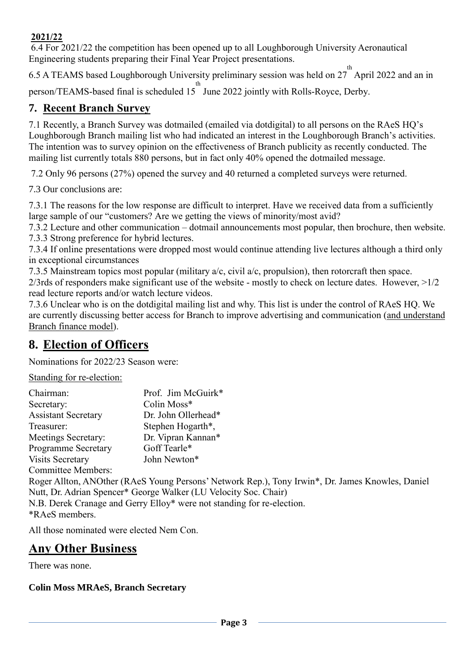#### **2021/22**

6.4 For 2021/22 the competition has been opened up to all Loughborough University Aeronautical Engineering students preparing their Final Year Project presentations.

6.5 A TEAMS based Loughborough University preliminary session was held on  $27^{th}$  April 2022 and an in person/TEAMS-based final is scheduled 15<sup>th</sup> June 2022 jointly with Rolls-Royce, Derby.

## **7. Recent Branch Survey**

7.1 Recently, a Branch Survey was dotmailed (emailed via dotdigital) to all persons on the RAeS HQ's Loughborough Branch mailing list who had indicated an interest in the Loughborough Branch's activities. The intention was to survey opinion on the effectiveness of Branch publicity as recently conducted. The mailing list currently totals 880 persons, but in fact only 40% opened the dotmailed message.

7.2 Only 96 persons (27%) opened the survey and 40 returned a completed surveys were returned.

7.3 Our conclusions are:

7.3.1 The reasons for the low response are difficult to interpret. Have we received data from a sufficiently large sample of our "customers? Are we getting the views of minority/most avid?

7.3.2 Lecture and other communication – dotmail announcements most popular, then brochure, then website. 7.3.3 Strong preference for hybrid lectures.

7.3.4 If online presentations were dropped most would continue attending live lectures although a third only in exceptional circumstances

7.3.5 Mainstream topics most popular (military a/c, civil a/c, propulsion), then rotorcraft then space. 2/3rds of responders make significant use of the website - mostly to check on lecture dates. However, >1/2 read lecture reports and/or watch lecture videos.

7.3.6 Unclear who is on the dotdigital mailing list and why. This list is under the control of RAeS HQ. We are currently discussing better access for Branch to improve advertising and communication (and understand Branch finance model).

# **8. Election of Officers**

Nominations for 2022/23 Season were:

Standing for re-election:

| Chairman:                         | Prof. Jim McGuirk*  |
|-----------------------------------|---------------------|
| Secretary:                        | Colin Moss*         |
| <b>Assistant Secretary</b>        | Dr. John Ollerhead* |
| Treasurer:                        | Stephen Hogarth*,   |
| Meetings Secretary:               | Dr. Vipran Kannan*  |
| <b>Programme Secretary</b>        | Goff Tearle*        |
| <b>Visits Secretary</b>           | John Newton*        |
| $\sim$ $\cdots$ $\cdots$ $\cdots$ |                     |

Committee Members:

Roger Allton, ANOther (RAeS Young Persons' Network Rep.), Tony Irwin\*, Dr. James Knowles, Daniel Nutt, Dr. Adrian Spencer\* George Walker (LU Velocity Soc. Chair) N.B. Derek Cranage and Gerry Elloy\* were not standing for re-election. \*RAeS members.

All those nominated were elected Nem Con.

# **Any Other Business**

There was none.

#### **Colin Moss MRAeS, Branch Secretary**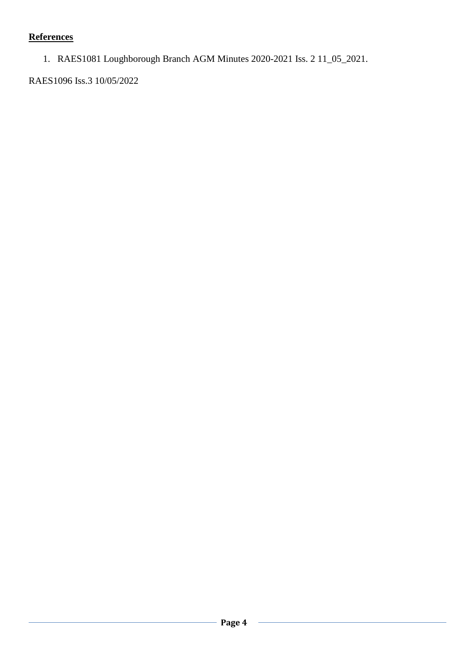# **References**

1. RAES1081 Loughborough Branch AGM Minutes 2020-2021 Iss. 2 11\_05\_2021.

RAES1096 Iss.3 10/05/2022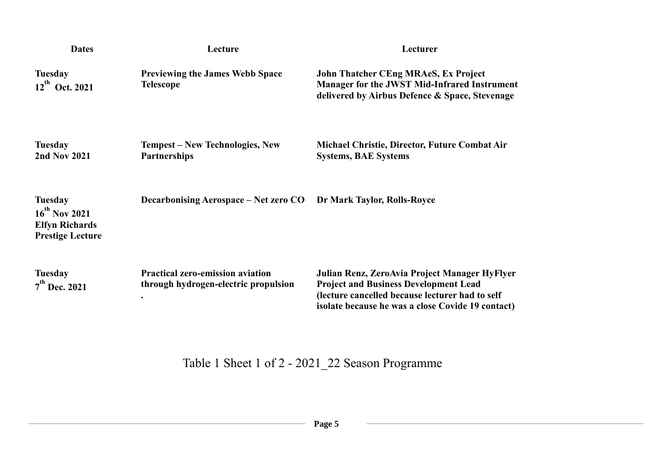| <b>Dates</b>                                                                             | Lecture                                                                         | Lecturer                                                                                                                                                                                              |
|------------------------------------------------------------------------------------------|---------------------------------------------------------------------------------|-------------------------------------------------------------------------------------------------------------------------------------------------------------------------------------------------------|
| <b>Tuesday</b><br>$12^{th}$ Oct. 2021                                                    | <b>Previewing the James Webb Space</b><br><b>Telescope</b>                      | <b>John Thatcher CEng MRAeS, Ex Project</b><br><b>Manager for the JWST Mid-Infrared Instrument</b><br>delivered by Airbus Defence & Space, Stevenage                                                  |
| <b>Tuesday</b><br><b>2nd Nov 2021</b>                                                    | <b>Tempest – New Technologies, New</b><br><b>Partnerships</b>                   | Michael Christie, Director, Future Combat Air<br><b>Systems, BAE Systems</b>                                                                                                                          |
| <b>Tuesday</b><br>$16^{th}$ Nov 2021<br><b>Elfyn Richards</b><br><b>Prestige Lecture</b> | Decarbonising Aerospace – Net zero CO                                           | Dr Mark Taylor, Rolls-Royce                                                                                                                                                                           |
| <b>Tuesday</b><br>$7th$ Dec. 2021                                                        | <b>Practical zero-emission aviation</b><br>through hydrogen-electric propulsion | Julian Renz, ZeroAvia Project Manager HyFlyer<br><b>Project and Business Development Lead</b><br>(lecture cancelled because lecturer had to self<br>isolate because he was a close Covide 19 contact) |

Table 1 Sheet 1 of 2 - 2021\_22 Season Programme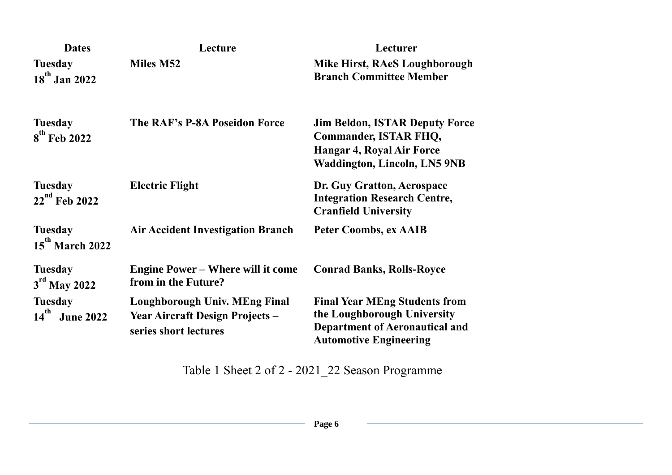| <b>Dates</b>                                    | Lecture                                                                                                 | Lecturer                                                                                                                                         |
|-------------------------------------------------|---------------------------------------------------------------------------------------------------------|--------------------------------------------------------------------------------------------------------------------------------------------------|
| <b>Tuesday</b><br>18 <sup>th</sup> Jan 2022     | Miles M52                                                                                               | Mike Hirst, RAeS Loughborough<br><b>Branch Committee Member</b>                                                                                  |
| <b>Tuesday</b><br>$8^{\text{th}}$ Feb 2022      | The RAF's P-8A Poseidon Force                                                                           | <b>Jim Beldon, ISTAR Deputy Force</b><br><b>Commander, ISTAR FHQ,</b><br><b>Hangar 4, Royal Air Force</b><br><b>Waddington, Lincoln, LN5 9NB</b> |
| <b>Tuesday</b><br>22 <sup>nd</sup> Feb 2022     | <b>Electric Flight</b>                                                                                  | Dr. Guy Gratton, Aerospace<br><b>Integration Research Centre,</b><br><b>Cranfield University</b>                                                 |
| <b>Tuesday</b><br>15 <sup>th</sup> March 2022   | <b>Air Accident Investigation Branch</b>                                                                | <b>Peter Coombs, ex AAIB</b>                                                                                                                     |
| <b>Tuesday</b><br>3 <sup>rd</sup> May 2022      | <b>Engine Power – Where will it come</b><br>from in the Future?                                         | <b>Conrad Banks, Rolls-Royce</b>                                                                                                                 |
| <b>Tuesday</b><br>$14^{th}$<br><b>June 2022</b> | <b>Loughborough Univ. MEng Final</b><br><b>Year Aircraft Design Projects -</b><br>series short lectures | <b>Final Year MEng Students from</b><br>the Loughborough University<br><b>Department of Aeronautical and</b><br><b>Automotive Engineering</b>    |

Table 1 Sheet 2 of 2 - 2021\_22 Season Programme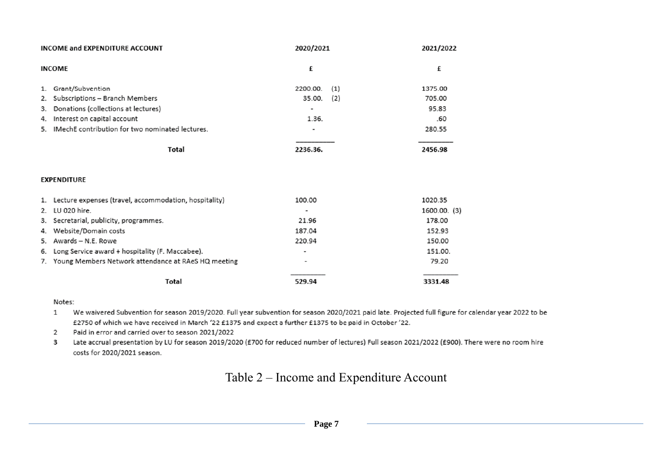|    | INCOME and EXPENDITURE ACCOUNT                           | 2020/2021       | 2021/2022    |
|----|----------------------------------------------------------|-----------------|--------------|
|    | <b>INCOME</b>                                            | £               | £            |
| 1. | Grant/Subvention                                         | 2200.00.<br>(1) | 1375.00      |
| 2. | Subscriptions - Branch Members                           | 35.00.<br>(2)   | 705.00       |
| 3. | Donations (collections at lectures)                      | ۰               | 95.83        |
| 4. | Interest on capital account                              | 1.36.           | .60          |
| 5. | IMechE contribution for two nominated lectures.          | $\blacksquare$  | 280.55       |
|    | <b>Total</b>                                             | 2236.36.        | 2456.98      |
|    | <b>EXPENDITURE</b>                                       |                 |              |
|    | 1. Lecture expenses (travel, accommodation, hospitality) | 100.00          | 1020.35      |
| 2. | LU 020 hire.                                             | ۰               | 1600.00. (3) |
| 3. | Secretarial, publicity, programmes.                      | 21.96           | 178.00       |
| 4. | Website/Domain costs                                     | 187.04          | 152.93       |
| 5. | Awards - N.E. Rowe                                       | 220.94          | 150.00       |
| 6. | Long Service award + hospitality (F. Maccabee).          | ٠               | 151.00.      |
|    | 7. Young Members Network attendance at RAeS HQ meeting   |                 | 79.20        |
|    | Total                                                    | 529.94          | 3331.48      |

#### Notes:

We waivered Subvention for season 2019/2020. Full year subvention for season 2020/2021 paid late. Projected full figure for calendar year 2022 to be  $\mathbf{1}$ £2750 of which we have received in March '22 £1375 and expect a further £1375 to be paid in October '22.

Paid in error and carried over to season 2021/2022  $\overline{2}$ 

Late accrual presentation by LU for season 2019/2020 (£700 for reduced number of lectures) Full season 2021/2022 (£900). There were no room hire 3 costs for 2020/2021 season.

# Table 2 – Income and Expenditure Account